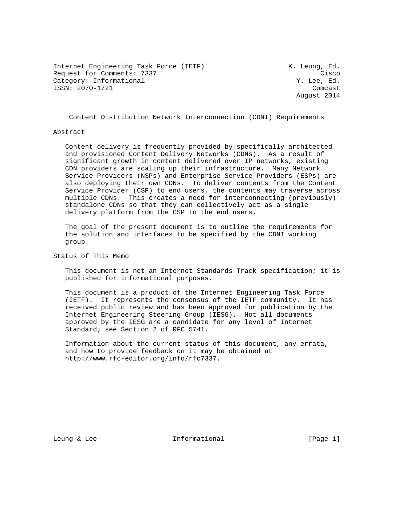Internet Engineering Task Force (IETF)  $\qquad \qquad$  K. Leung, Ed. Request for Comments: 7337 Cisco Category: Informational  $Y.$  Lee, Ed. ISSN: 2070-1721 Comcast

August 2014

Content Distribution Network Interconnection (CDNI) Requirements

#### Abstract

 Content delivery is frequently provided by specifically architected and provisioned Content Delivery Networks (CDNs). As a result of significant growth in content delivered over IP networks, existing CDN providers are scaling up their infrastructure. Many Network Service Providers (NSPs) and Enterprise Service Providers (ESPs) are also deploying their own CDNs. To deliver contents from the Content Service Provider (CSP) to end users, the contents may traverse across multiple CDNs. This creates a need for interconnecting (previously) standalone CDNs so that they can collectively act as a single delivery platform from the CSP to the end users.

 The goal of the present document is to outline the requirements for the solution and interfaces to be specified by the CDNI working group.

Status of This Memo

 This document is not an Internet Standards Track specification; it is published for informational purposes.

 This document is a product of the Internet Engineering Task Force (IETF). It represents the consensus of the IETF community. It has received public review and has been approved for publication by the Internet Engineering Steering Group (IESG). Not all documents approved by the IESG are a candidate for any level of Internet Standard; see Section 2 of RFC 5741.

 Information about the current status of this document, any errata, and how to provide feedback on it may be obtained at http://www.rfc-editor.org/info/rfc7337.

Leung & Lee  $Informational$  [Page 1]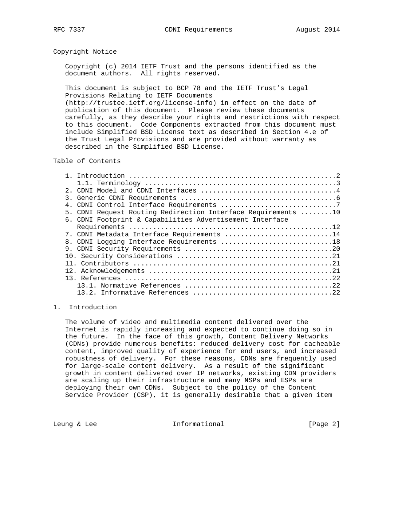### Copyright Notice

 Copyright (c) 2014 IETF Trust and the persons identified as the document authors. All rights reserved.

 This document is subject to BCP 78 and the IETF Trust's Legal Provisions Relating to IETF Documents

 (http://trustee.ietf.org/license-info) in effect on the date of publication of this document. Please review these documents carefully, as they describe your rights and restrictions with respect to this document. Code Components extracted from this document must include Simplified BSD License text as described in Section 4.e of the Trust Legal Provisions and are provided without warranty as described in the Simplified BSD License.

## Table of Contents

| 2 <sub>1</sub>                                                |  |
|---------------------------------------------------------------|--|
|                                                               |  |
|                                                               |  |
| 5. CDNI Request Routing Redirection Interface Requirements 10 |  |
| 6. CDNI Footprint & Capabilities Advertisement Interface      |  |
|                                                               |  |
| 7. CDNI Metadata Interface Requirements 14                    |  |
| 8. CDNI Logging Interface Requirements 18                     |  |
|                                                               |  |
|                                                               |  |
|                                                               |  |
|                                                               |  |
|                                                               |  |
|                                                               |  |
|                                                               |  |

### 1. Introduction

 The volume of video and multimedia content delivered over the Internet is rapidly increasing and expected to continue doing so in the future. In the face of this growth, Content Delivery Networks (CDNs) provide numerous benefits: reduced delivery cost for cacheable content, improved quality of experience for end users, and increased robustness of delivery. For these reasons, CDNs are frequently used for large-scale content delivery. As a result of the significant growth in content delivered over IP networks, existing CDN providers are scaling up their infrastructure and many NSPs and ESPs are deploying their own CDNs. Subject to the policy of the Content Service Provider (CSP), it is generally desirable that a given item

Leung & Lee **Informational** [Page 2]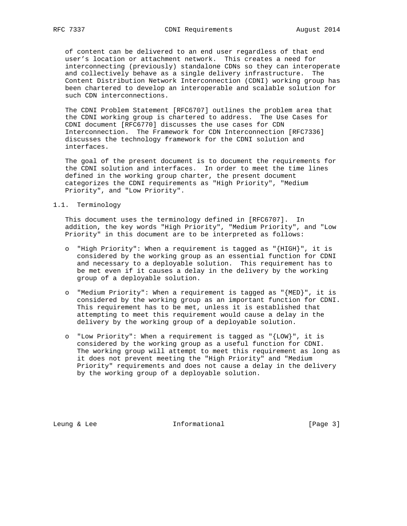of content can be delivered to an end user regardless of that end user's location or attachment network. This creates a need for interconnecting (previously) standalone CDNs so they can interoperate and collectively behave as a single delivery infrastructure. The Content Distribution Network Interconnection (CDNI) working group has been chartered to develop an interoperable and scalable solution for such CDN interconnections.

 The CDNI Problem Statement [RFC6707] outlines the problem area that the CDNI working group is chartered to address. The Use Cases for CDNI document [RFC6770] discusses the use cases for CDN Interconnection. The Framework for CDN Interconnection [RFC7336] discusses the technology framework for the CDNI solution and interfaces.

 The goal of the present document is to document the requirements for the CDNI solution and interfaces. In order to meet the time lines defined in the working group charter, the present document categorizes the CDNI requirements as "High Priority", "Medium Priority", and "Low Priority".

#### 1.1. Terminology

 This document uses the terminology defined in [RFC6707]. In addition, the key words "High Priority", "Medium Priority", and "Low Priority" in this document are to be interpreted as follows:

- o "High Priority": When a requirement is tagged as "{HIGH}", it is considered by the working group as an essential function for CDNI and necessary to a deployable solution. This requirement has to be met even if it causes a delay in the delivery by the working group of a deployable solution.
- o "Medium Priority": When a requirement is tagged as "{MED}", it is considered by the working group as an important function for CDNI. This requirement has to be met, unless it is established that attempting to meet this requirement would cause a delay in the delivery by the working group of a deployable solution.
- o "Low Priority": When a requirement is tagged as "{LOW}", it is considered by the working group as a useful function for CDNI. The working group will attempt to meet this requirement as long as it does not prevent meeting the "High Priority" and "Medium Priority" requirements and does not cause a delay in the delivery by the working group of a deployable solution.

Leung & Lee **Informational** [Page 3]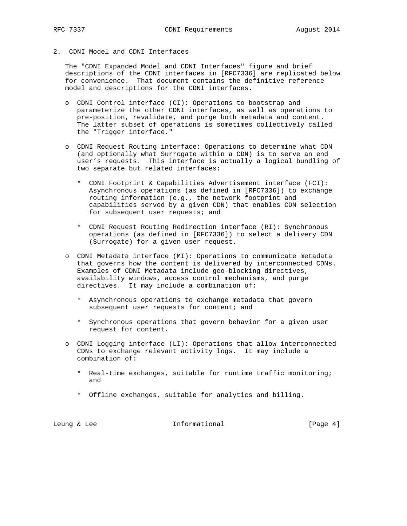## 2. CDNI Model and CDNI Interfaces

 The "CDNI Expanded Model and CDNI Interfaces" figure and brief descriptions of the CDNI interfaces in [RFC7336] are replicated below for convenience. That document contains the definitive reference model and descriptions for the CDNI interfaces.

- o CDNI Control interface (CI): Operations to bootstrap and parameterize the other CDNI interfaces, as well as operations to pre-position, revalidate, and purge both metadata and content. The latter subset of operations is sometimes collectively called the "Trigger interface."
- o CDNI Request Routing interface: Operations to determine what CDN (and optionally what Surrogate within a CDN) is to serve an end user's requests. This interface is actually a logical bundling of two separate but related interfaces:
	- \* CDNI Footprint & Capabilities Advertisement interface (FCI): Asynchronous operations (as defined in [RFC7336]) to exchange routing information (e.g., the network footprint and capabilities served by a given CDN) that enables CDN selection for subsequent user requests; and
	- \* CDNI Request Routing Redirection interface (RI): Synchronous operations (as defined in [RFC7336]) to select a delivery CDN (Surrogate) for a given user request.
- o CDNI Metadata interface (MI): Operations to communicate metadata that governs how the content is delivered by interconnected CDNs. Examples of CDNI Metadata include geo-blocking directives, availability windows, access control mechanisms, and purge directives. It may include a combination of:
	- \* Asynchronous operations to exchange metadata that govern subsequent user requests for content; and
	- \* Synchronous operations that govern behavior for a given user request for content.
- o CDNI Logging interface (LI): Operations that allow interconnected CDNs to exchange relevant activity logs. It may include a combination of:
	- \* Real-time exchanges, suitable for runtime traffic monitoring; and
	- \* Offline exchanges, suitable for analytics and billing.

Leung & Lee  $I_n$  Informational [Page 4]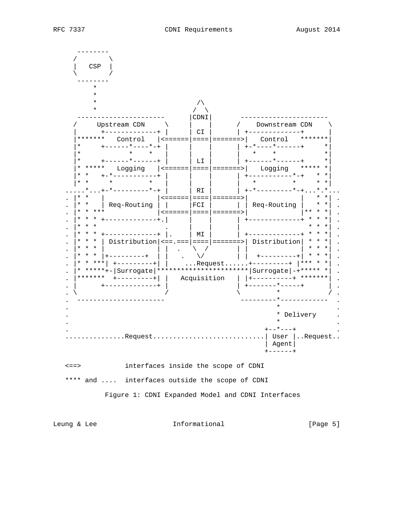CSP  $|CDNI|$ \_\_\_\_\_\_\_\_\_\_\_\_\_\_\_\_\_\_\_\_\_\_\_ Upstream CDN  $\setminus$   $\Big\vert$   $\Big\vert$   $\Big\vert$   $\Big\vert$   $\Big\vert$   $\Big\vert$   $\Big\vert$   $\Big\vert$   $\Big\vert$   $\Big\vert$   $\Big\vert$   $\Big\vert$   $\Big\vert$   $\Big\vert$   $\Big\vert$   $\Big\vert$   $\Big\vert$   $\Big\vert$   $\Big\vert$   $\Big\vert$   $\Big\vert$   $\Big\vert$   $\Big\vert$   $\Big\vert$   $\Big\vert$   $\Big\vert$   $\Big\vert$   $\Big\vert$   $\Big\vert$ / Downstream CDN<br>1 +-------------+  $+ -$ \*----\*------+  $\star$  $\ddot{\phantom{0}}$  $\star$  $\star$ \* \*\*\*\*\* Logging |<=====|====|======>| Logging \*\*\*\*\* \*  $+ -$ \*------------+ | |  $\star$   $\star$  $*$  \*  $\star$   $\star$  $\star$   $\star$  |  $\vert * \vert *$  $\star$   $\star$  |  $\sim$ \* \* \* +-------------+.|<br>\* \* \* ------------+ \* \* \* |  $|***$  $\star$   $\star$   $\star$  | |\* \* \* +--------------+ |. | MI | | +-------------+ \* \* \*|<br>|\* \* \* | Distribution|<==.===|====|======>| Distribution| \* \* \*|  $\bullet$  $\ddot{\phantom{0}}$  $\begin{array}{|c|c|c|c|c|}\n\hline\n\ast & \ast & \ast \\
\hline\n\end{array}$  $\ddot{\phantom{a}}$  $\ddot{\phantom{a}}$  $| +$  $\ddot{\phantom{a}}$  $\cdot \setminus$  $\setminus$  $\sqrt{2}$ -----------------------\* Delivery .  $\star$  $+ - - * - - - +$ ...............Request..............................| User |..Request.. | Agent|  $+ - - - - - +$ <==> interfaces inside the scope of CDNI \*\*\*\* and .... interfaces outside the scope of CDNI Figure 1: CDNI Expanded Model and CDNI Interfaces

Leung & Lee The Informational

[Page 5]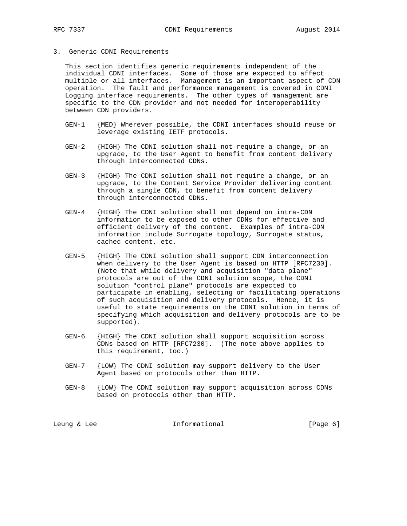3. Generic CDNI Requirements

 This section identifies generic requirements independent of the individual CDNI interfaces. Some of those are expected to affect multiple or all interfaces. Management is an important aspect of CDN operation. The fault and performance management is covered in CDNI Logging interface requirements. The other types of management are specific to the CDN provider and not needed for interoperability between CDN providers.

- GEN-1 {MED} Wherever possible, the CDNI interfaces should reuse or leverage existing IETF protocols.
- GEN-2 {HIGH} The CDNI solution shall not require a change, or an upgrade, to the User Agent to benefit from content delivery through interconnected CDNs.
- GEN-3 {HIGH} The CDNI solution shall not require a change, or an upgrade, to the Content Service Provider delivering content through a single CDN, to benefit from content delivery through interconnected CDNs.
- GEN-4 {HIGH} The CDNI solution shall not depend on intra-CDN information to be exposed to other CDNs for effective and efficient delivery of the content. Examples of intra-CDN information include Surrogate topology, Surrogate status, cached content, etc.
- GEN-5 {HIGH} The CDNI solution shall support CDN interconnection when delivery to the User Agent is based on HTTP [RFC7230]. (Note that while delivery and acquisition "data plane" protocols are out of the CDNI solution scope, the CDNI solution "control plane" protocols are expected to participate in enabling, selecting or facilitating operations of such acquisition and delivery protocols. Hence, it is useful to state requirements on the CDNI solution in terms of specifying which acquisition and delivery protocols are to be supported).
- GEN-6 {HIGH} The CDNI solution shall support acquisition across CDNs based on HTTP [RFC7230]. (The note above applies to this requirement, too.)
- GEN-7 {LOW} The CDNI solution may support delivery to the User Agent based on protocols other than HTTP.
- GEN-8 {LOW} The CDNI solution may support acquisition across CDNs based on protocols other than HTTP.

Leung & Lee  $I_n$  Informational [Page 6]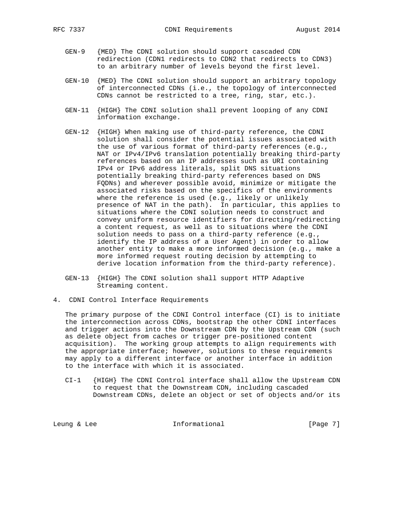- GEN-9 {MED} The CDNI solution should support cascaded CDN redirection (CDN1 redirects to CDN2 that redirects to CDN3) to an arbitrary number of levels beyond the first level.
- GEN-10 {MED} The CDNI solution should support an arbitrary topology of interconnected CDNs (i.e., the topology of interconnected CDNs cannot be restricted to a tree, ring, star, etc.).
- GEN-11 {HIGH} The CDNI solution shall prevent looping of any CDNI information exchange.
- GEN-12 {HIGH} When making use of third-party reference, the CDNI solution shall consider the potential issues associated with the use of various format of third-party references (e.g., NAT or IPv4/IPv6 translation potentially breaking third-party references based on an IP addresses such as URI containing IPv4 or IPv6 address literals, split DNS situations potentially breaking third-party references based on DNS FQDNs) and wherever possible avoid, minimize or mitigate the associated risks based on the specifics of the environments where the reference is used (e.g., likely or unlikely presence of NAT in the path). In particular, this applies to situations where the CDNI solution needs to construct and convey uniform resource identifiers for directing/redirecting a content request, as well as to situations where the CDNI solution needs to pass on a third-party reference (e.g., identify the IP address of a User Agent) in order to allow another entity to make a more informed decision (e.g., make a more informed request routing decision by attempting to derive location information from the third-party reference).
- GEN-13 {HIGH} The CDNI solution shall support HTTP Adaptive Streaming content.
- 4. CDNI Control Interface Requirements

 The primary purpose of the CDNI Control interface (CI) is to initiate the interconnection across CDNs, bootstrap the other CDNI interfaces and trigger actions into the Downstream CDN by the Upstream CDN (such as delete object from caches or trigger pre-positioned content acquisition). The working group attempts to align requirements with the appropriate interface; however, solutions to these requirements may apply to a different interface or another interface in addition to the interface with which it is associated.

 CI-1 {HIGH} The CDNI Control interface shall allow the Upstream CDN to request that the Downstream CDN, including cascaded Downstream CDNs, delete an object or set of objects and/or its

Leung & Lee **Informational** [Page 7]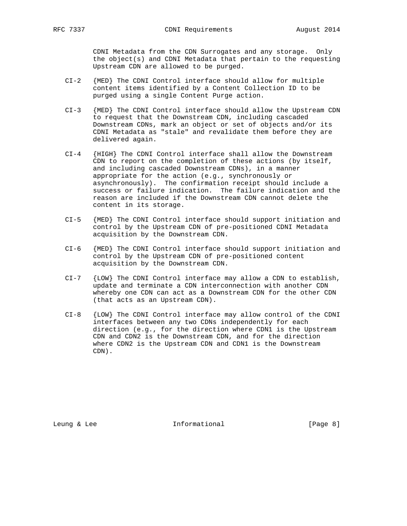CDNI Metadata from the CDN Surrogates and any storage. Only the object(s) and CDNI Metadata that pertain to the requesting Upstream CDN are allowed to be purged.

- CI-2 {MED} The CDNI Control interface should allow for multiple content items identified by a Content Collection ID to be purged using a single Content Purge action.
- CI-3 {MED} The CDNI Control interface should allow the Upstream CDN to request that the Downstream CDN, including cascaded Downstream CDNs, mark an object or set of objects and/or its CDNI Metadata as "stale" and revalidate them before they are delivered again.
- CI-4 {HIGH} The CDNI Control interface shall allow the Downstream CDN to report on the completion of these actions (by itself, and including cascaded Downstream CDNs), in a manner appropriate for the action (e.g., synchronously or asynchronously). The confirmation receipt should include a success or failure indication. The failure indication and the reason are included if the Downstream CDN cannot delete the content in its storage.
- CI-5 {MED} The CDNI Control interface should support initiation and control by the Upstream CDN of pre-positioned CDNI Metadata acquisition by the Downstream CDN.
- CI-6 {MED} The CDNI Control interface should support initiation and control by the Upstream CDN of pre-positioned content acquisition by the Downstream CDN.
- CI-7 {LOW} The CDNI Control interface may allow a CDN to establish, update and terminate a CDN interconnection with another CDN whereby one CDN can act as a Downstream CDN for the other CDN (that acts as an Upstream CDN).
- CI-8 {LOW} The CDNI Control interface may allow control of the CDNI interfaces between any two CDNs independently for each direction (e.g., for the direction where CDN1 is the Upstream CDN and CDN2 is the Downstream CDN, and for the direction where CDN2 is the Upstream CDN and CDN1 is the Downstream CDN).

Leung & Lee **Informational** [Page 8]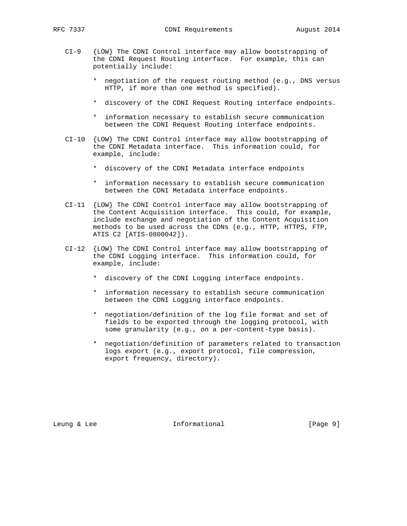- CI-9 {LOW} The CDNI Control interface may allow bootstrapping of the CDNI Request Routing interface. For example, this can potentially include:
	- \* negotiation of the request routing method (e.g., DNS versus HTTP, if more than one method is specified).
	- \* discovery of the CDNI Request Routing interface endpoints.
	- \* information necessary to establish secure communication between the CDNI Request Routing interface endpoints.
- CI-10 {LOW} The CDNI Control interface may allow bootstrapping of the CDNI Metadata interface. This information could, for example, include:
	- \* discovery of the CDNI Metadata interface endpoints
	- \* information necessary to establish secure communication between the CDNI Metadata interface endpoints.
- CI-11 {LOW} The CDNI Control interface may allow bootstrapping of the Content Acquisition interface. This could, for example, include exchange and negotiation of the Content Acquisition methods to be used across the CDNs (e.g., HTTP, HTTPS, FTP, ATIS C2 [ATIS-0800042]).
- CI-12 {LOW} The CDNI Control interface may allow bootstrapping of the CDNI Logging interface. This information could, for example, include:
	- \* discovery of the CDNI Logging interface endpoints.
	- \* information necessary to establish secure communication between the CDNI Logging interface endpoints.
	- \* negotiation/definition of the log file format and set of fields to be exported through the logging protocol, with some granularity (e.g., on a per-content-type basis).
	- \* negotiation/definition of parameters related to transaction logs export (e.g., export protocol, file compression, export frequency, directory).

Leung & Lee **Informational** [Page 9]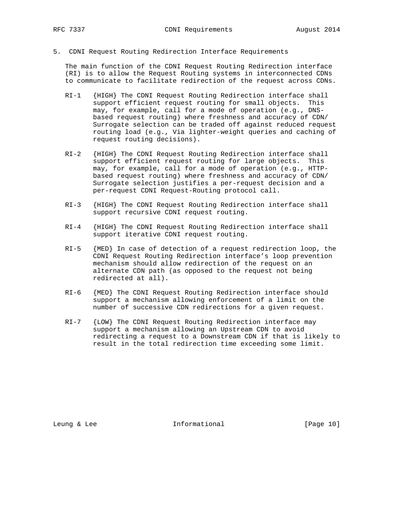- 
- 5. CDNI Request Routing Redirection Interface Requirements

 The main function of the CDNI Request Routing Redirection interface (RI) is to allow the Request Routing systems in interconnected CDNs to communicate to facilitate redirection of the request across CDNs.

- RI-1 {HIGH} The CDNI Request Routing Redirection interface shall support efficient request routing for small objects. This may, for example, call for a mode of operation (e.g., DNS based request routing) where freshness and accuracy of CDN/ Surrogate selection can be traded off against reduced request routing load (e.g., Via lighter-weight queries and caching of request routing decisions).
- RI-2 {HIGH} The CDNI Request Routing Redirection interface shall support efficient request routing for large objects. This may, for example, call for a mode of operation (e.g., HTTP based request routing) where freshness and accuracy of CDN/ Surrogate selection justifies a per-request decision and a per-request CDNI Request-Routing protocol call.
- RI-3 {HIGH} The CDNI Request Routing Redirection interface shall support recursive CDNI request routing.
- RI-4 {HIGH} The CDNI Request Routing Redirection interface shall support iterative CDNI request routing.
- RI-5 {MED} In case of detection of a request redirection loop, the CDNI Request Routing Redirection interface's loop prevention mechanism should allow redirection of the request on an alternate CDN path (as opposed to the request not being redirected at all).
- RI-6 {MED} The CDNI Request Routing Redirection interface should support a mechanism allowing enforcement of a limit on the number of successive CDN redirections for a given request.
- RI-7 {LOW} The CDNI Request Routing Redirection interface may support a mechanism allowing an Upstream CDN to avoid redirecting a request to a Downstream CDN if that is likely to result in the total redirection time exceeding some limit.

Leung & Lee  $Informational$  [Page 10]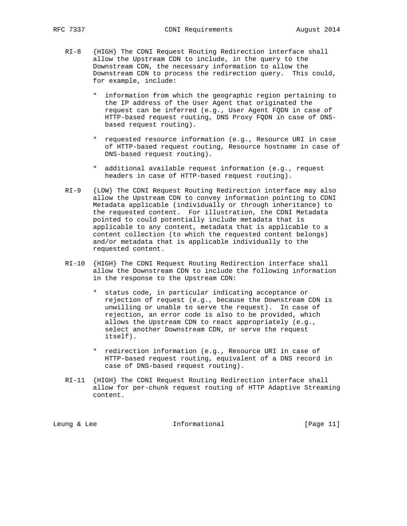- RI-8 {HIGH} The CDNI Request Routing Redirection interface shall allow the Upstream CDN to include, in the query to the Downstream CDN, the necessary information to allow the Downstream CDN to process the redirection query. This could, for example, include:
	- \* information from which the geographic region pertaining to the IP address of the User Agent that originated the request can be inferred (e.g., User Agent FQDN in case of HTTP-based request routing, DNS Proxy FQDN in case of DNS based request routing).
	- \* requested resource information (e.g., Resource URI in case of HTTP-based request routing, Resource hostname in case of DNS-based request routing).
	- \* additional available request information (e.g., request headers in case of HTTP-based request routing).
- RI-9 {LOW} The CDNI Request Routing Redirection interface may also allow the Upstream CDN to convey information pointing to CDNI Metadata applicable (individually or through inheritance) to the requested content. For illustration, the CDNI Metadata pointed to could potentially include metadata that is applicable to any content, metadata that is applicable to a content collection (to which the requested content belongs) and/or metadata that is applicable individually to the requested content.
- RI-10 {HIGH} The CDNI Request Routing Redirection interface shall allow the Downstream CDN to include the following information in the response to the Upstream CDN:
	- \* status code, in particular indicating acceptance or rejection of request (e.g., because the Downstream CDN is unwilling or unable to serve the request). In case of rejection, an error code is also to be provided, which allows the Upstream CDN to react appropriately (e.g., select another Downstream CDN, or serve the request itself).
	- \* redirection information (e.g., Resource URI in case of HTTP-based request routing, equivalent of a DNS record in case of DNS-based request routing).
- RI-11 {HIGH} The CDNI Request Routing Redirection interface shall allow for per-chunk request routing of HTTP Adaptive Streaming content.

Leung & Lee **Informational** [Page 11]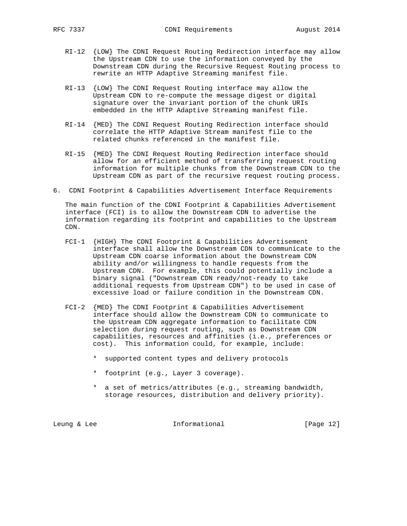- RI-12 {LOW} The CDNI Request Routing Redirection interface may allow the Upstream CDN to use the information conveyed by the Downstream CDN during the Recursive Request Routing process to rewrite an HTTP Adaptive Streaming manifest file.
- RI-13 {LOW} The CDNI Request Routing interface may allow the Upstream CDN to re-compute the message digest or digital signature over the invariant portion of the chunk URIs embedded in the HTTP Adaptive Streaming manifest file.
- RI-14 {MED} The CDNI Request Routing Redirection interface should correlate the HTTP Adaptive Stream manifest file to the related chunks referenced in the manifest file.
- RI-15 {MED} The CDNI Request Routing Redirection interface should allow for an efficient method of transferring request routing information for multiple chunks from the Downstream CDN to the Upstream CDN as part of the recursive request routing process.
- 6. CDNI Footprint & Capabilities Advertisement Interface Requirements

The main function of the CDNI Footprint  $\&$  Capabilities Advertisement interface (FCI) is to allow the Downstream CDN to advertise the information regarding its footprint and capabilities to the Upstream CDN.

- FCI-1 {HIGH} The CDNI Footprint & Capabilities Advertisement interface shall allow the Downstream CDN to communicate to the Upstream CDN coarse information about the Downstream CDN ability and/or willingness to handle requests from the Upstream CDN. For example, this could potentially include a binary signal ("Downstream CDN ready/not-ready to take additional requests from Upstream CDN") to be used in case of excessive load or failure condition in the Downstream CDN.
- FCI-2 {MED} The CDNI Footprint & Capabilities Advertisement interface should allow the Downstream CDN to communicate to the Upstream CDN aggregate information to facilitate CDN selection during request routing, such as Downstream CDN capabilities, resources and affinities (i.e., preferences or cost). This information could, for example, include:
	- \* supported content types and delivery protocols
	- \* footprint (e.g., Layer 3 coverage).
	- \* a set of metrics/attributes (e.g., streaming bandwidth, storage resources, distribution and delivery priority).

Leung & Lee **Informational** [Page 12]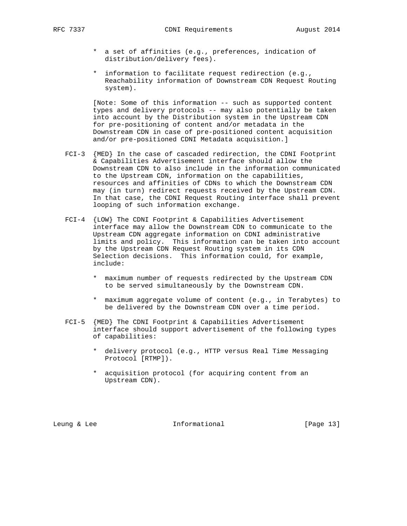- \* a set of affinities (e.g., preferences, indication of distribution/delivery fees).
- \* information to facilitate request redirection (e.g., Reachability information of Downstream CDN Request Routing system).

 [Note: Some of this information -- such as supported content types and delivery protocols -- may also potentially be taken into account by the Distribution system in the Upstream CDN for pre-positioning of content and/or metadata in the Downstream CDN in case of pre-positioned content acquisition and/or pre-positioned CDNI Metadata acquisition.]

- FCI-3 {MED} In the case of cascaded redirection, the CDNI Footprint & Capabilities Advertisement interface should allow the Downstream CDN to also include in the information communicated to the Upstream CDN, information on the capabilities, resources and affinities of CDNs to which the Downstream CDN may (in turn) redirect requests received by the Upstream CDN. In that case, the CDNI Request Routing interface shall prevent looping of such information exchange.
- FCI-4 {LOW} The CDNI Footprint & Capabilities Advertisement interface may allow the Downstream CDN to communicate to the Upstream CDN aggregate information on CDNI administrative limits and policy. This information can be taken into account by the Upstream CDN Request Routing system in its CDN Selection decisions. This information could, for example, include:
	- \* maximum number of requests redirected by the Upstream CDN to be served simultaneously by the Downstream CDN.
	- \* maximum aggregate volume of content (e.g., in Terabytes) to be delivered by the Downstream CDN over a time period.
- FCI-5 {MED} The CDNI Footprint & Capabilities Advertisement interface should support advertisement of the following types of capabilities:
	- \* delivery protocol (e.g., HTTP versus Real Time Messaging Protocol [RTMP]).
	- \* acquisition protocol (for acquiring content from an Upstream CDN).

Leung & Lee  $Informational$  [Page 13]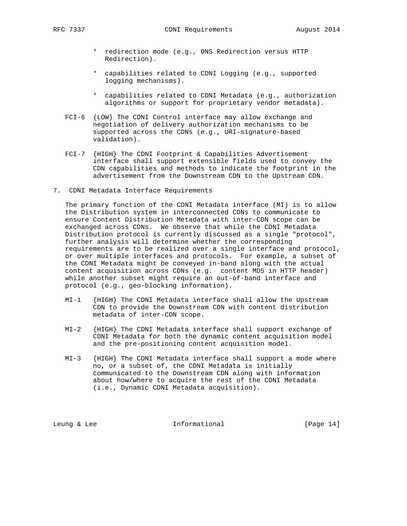RFC 7337 CDNI Requirements August 2014

- \* redirection mode (e.g., DNS Redirection versus HTTP Redirection).
- \* capabilities related to CDNI Logging (e.g., supported logging mechanisms).
- \* capabilities related to CDNI Metadata (e.g., authorization algorithms or support for proprietary vendor metadata).
- FCI-6 {LOW} The CDNI Control interface may allow exchange and negotiation of delivery authorization mechanisms to be supported across the CDNs (e.g., URI-signature-based validation).
- FCI-7 {HIGH} The CDNI Footprint & Capabilities Advertisement interface shall support extensible fields used to convey the CDN capabilities and methods to indicate the footprint in the advertisement from the Downstream CDN to the Upstream CDN.
- 7. CDNI Metadata Interface Requirements

 The primary function of the CDNI Metadata interface (MI) is to allow the Distribution system in interconnected CDNs to communicate to ensure Content Distribution Metadata with inter-CDN scope can be exchanged across CDNs. We observe that while the CDNI Metadata Distribution protocol is currently discussed as a single "protocol", further analysis will determine whether the corresponding requirements are to be realized over a single interface and protocol, or over multiple interfaces and protocols. For example, a subset of the CDNI Metadata might be conveyed in-band along with the actual content acquisition across CDNs (e.g. content MD5 in HTTP header) while another subset might require an out-of-band interface and protocol (e.g., geo-blocking information).

- MI-1 {HIGH} The CDNI Metadata interface shall allow the Upstream CDN to provide the Downstream CDN with content distribution metadata of inter-CDN scope.
- MI-2 {HIGH} The CDNI Metadata interface shall support exchange of CDNI Metadata for both the dynamic content acquisition model and the pre-positioning content acquisition model.
- MI-3 {HIGH} The CDNI Metadata interface shall support a mode where no, or a subset of, the CDNI Metadata is initially communicated to the Downstream CDN along with information about how/where to acquire the rest of the CDNI Metadata (i.e., Dynamic CDNI Metadata acquisition).

Leung & Lee  $Informational$  [Page 14]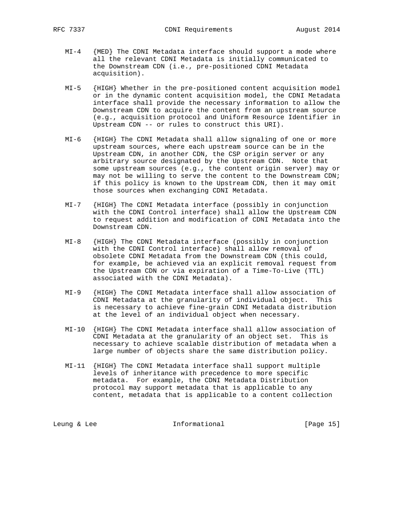- MI-4 {MED} The CDNI Metadata interface should support a mode where all the relevant CDNI Metadata is initially communicated to the Downstream CDN (i.e., pre-positioned CDNI Metadata acquisition).
- MI-5 {HIGH} Whether in the pre-positioned content acquisition model or in the dynamic content acquisition model, the CDNI Metadata interface shall provide the necessary information to allow the Downstream CDN to acquire the content from an upstream source (e.g., acquisition protocol and Uniform Resource Identifier in Upstream CDN -- or rules to construct this URI).
- MI-6 {HIGH} The CDNI Metadata shall allow signaling of one or more upstream sources, where each upstream source can be in the Upstream CDN, in another CDN, the CSP origin server or any arbitrary source designated by the Upstream CDN. Note that some upstream sources (e.g., the content origin server) may or may not be willing to serve the content to the Downstream CDN; if this policy is known to the Upstream CDN, then it may omit those sources when exchanging CDNI Metadata.
- MI-7 {HIGH} The CDNI Metadata interface (possibly in conjunction with the CDNI Control interface) shall allow the Upstream CDN to request addition and modification of CDNI Metadata into the Downstream CDN.
- MI-8 {HIGH} The CDNI Metadata interface (possibly in conjunction with the CDNI Control interface) shall allow removal of obsolete CDNI Metadata from the Downstream CDN (this could, for example, be achieved via an explicit removal request from the Upstream CDN or via expiration of a Time-To-Live (TTL) associated with the CDNI Metadata).
- MI-9 {HIGH} The CDNI Metadata interface shall allow association of CDNI Metadata at the granularity of individual object. This is necessary to achieve fine-grain CDNI Metadata distribution at the level of an individual object when necessary.
- MI-10 {HIGH} The CDNI Metadata interface shall allow association of CDNI Metadata at the granularity of an object set. This is necessary to achieve scalable distribution of metadata when a large number of objects share the same distribution policy.
- MI-11 {HIGH} The CDNI Metadata interface shall support multiple levels of inheritance with precedence to more specific metadata. For example, the CDNI Metadata Distribution protocol may support metadata that is applicable to any content, metadata that is applicable to a content collection

Leung & Lee **Informational** [Page 15]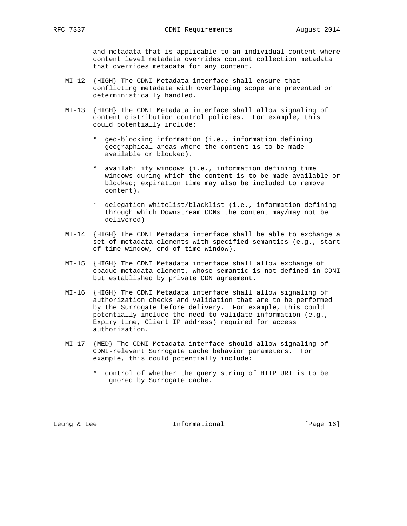and metadata that is applicable to an individual content where content level metadata overrides content collection metadata that overrides metadata for any content.

- MI-12 {HIGH} The CDNI Metadata interface shall ensure that conflicting metadata with overlapping scope are prevented or deterministically handled.
- MI-13 {HIGH} The CDNI Metadata interface shall allow signaling of content distribution control policies. For example, this could potentially include:
	- \* geo-blocking information (i.e., information defining geographical areas where the content is to be made available or blocked).
	- \* availability windows (i.e., information defining time windows during which the content is to be made available or blocked; expiration time may also be included to remove content).
	- \* delegation whitelist/blacklist (i.e., information defining through which Downstream CDNs the content may/may not be delivered)
- MI-14 {HIGH} The CDNI Metadata interface shall be able to exchange a set of metadata elements with specified semantics (e.g., start of time window, end of time window).
- MI-15 {HIGH} The CDNI Metadata interface shall allow exchange of opaque metadata element, whose semantic is not defined in CDNI but established by private CDN agreement.
- MI-16 {HIGH} The CDNI Metadata interface shall allow signaling of authorization checks and validation that are to be performed by the Surrogate before delivery. For example, this could potentially include the need to validate information (e.g., Expiry time, Client IP address) required for access authorization.
- MI-17 {MED} The CDNI Metadata interface should allow signaling of CDNI-relevant Surrogate cache behavior parameters. For example, this could potentially include:
	- \* control of whether the query string of HTTP URI is to be ignored by Surrogate cache.

Leung & Lee **Informational** [Page 16]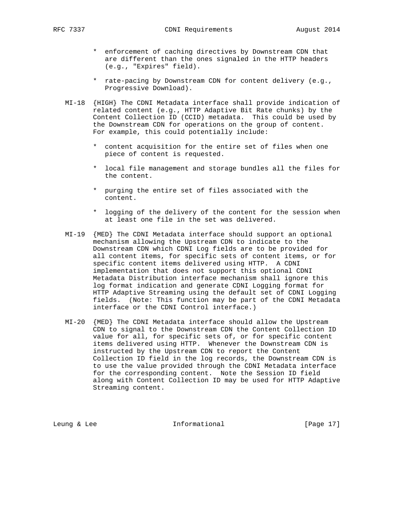- \* enforcement of caching directives by Downstream CDN that are different than the ones signaled in the HTTP headers (e.g., "Expires" field).
- \* rate-pacing by Downstream CDN for content delivery (e.g., Progressive Download).
- MI-18 {HIGH} The CDNI Metadata interface shall provide indication of related content (e.g., HTTP Adaptive Bit Rate chunks) by the Content Collection ID (CCID) metadata. This could be used by the Downstream CDN for operations on the group of content. For example, this could potentially include:
	- \* content acquisition for the entire set of files when one piece of content is requested.
	- \* local file management and storage bundles all the files for the content.
	- \* purging the entire set of files associated with the content.
	- \* logging of the delivery of the content for the session when at least one file in the set was delivered.
- MI-19 {MED} The CDNI Metadata interface should support an optional mechanism allowing the Upstream CDN to indicate to the Downstream CDN which CDNI Log fields are to be provided for all content items, for specific sets of content items, or for specific content items delivered using HTTP. A CDNI implementation that does not support this optional CDNI Metadata Distribution interface mechanism shall ignore this log format indication and generate CDNI Logging format for HTTP Adaptive Streaming using the default set of CDNI Logging fields. (Note: This function may be part of the CDNI Metadata interface or the CDNI Control interface.)
- MI-20 {MED} The CDNI Metadata interface should allow the Upstream CDN to signal to the Downstream CDN the Content Collection ID value for all, for specific sets of, or for specific content items delivered using HTTP. Whenever the Downstream CDN is instructed by the Upstream CDN to report the Content Collection ID field in the log records, the Downstream CDN is to use the value provided through the CDNI Metadata interface for the corresponding content. Note the Session ID field along with Content Collection ID may be used for HTTP Adaptive Streaming content.

Leung & Lee **Informational** [Page 17]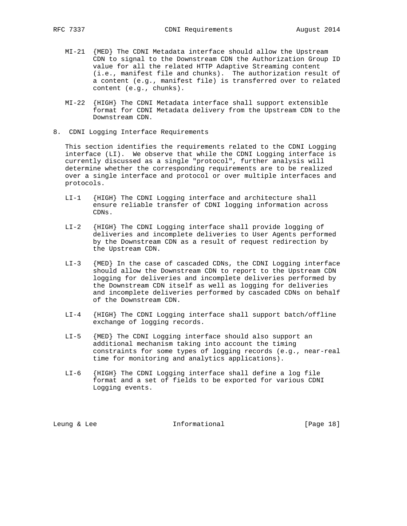- MI-21 {MED} The CDNI Metadata interface should allow the Upstream CDN to signal to the Downstream CDN the Authorization Group ID value for all the related HTTP Adaptive Streaming content (i.e., manifest file and chunks). The authorization result of a content (e.g., manifest file) is transferred over to related content (e.g., chunks).
- MI-22 {HIGH} The CDNI Metadata interface shall support extensible format for CDNI Metadata delivery from the Upstream CDN to the Downstream CDN.
- 8. CDNI Logging Interface Requirements

 This section identifies the requirements related to the CDNI Logging interface (LI). We observe that while the CDNI Logging interface is currently discussed as a single "protocol", further analysis will determine whether the corresponding requirements are to be realized over a single interface and protocol or over multiple interfaces and protocols.

- LI-1 {HIGH} The CDNI Logging interface and architecture shall ensure reliable transfer of CDNI logging information across CDNs.
- LI-2 {HIGH} The CDNI Logging interface shall provide logging of deliveries and incomplete deliveries to User Agents performed by the Downstream CDN as a result of request redirection by the Upstream CDN.
- LI-3 {MED} In the case of cascaded CDNs, the CDNI Logging interface should allow the Downstream CDN to report to the Upstream CDN logging for deliveries and incomplete deliveries performed by the Downstream CDN itself as well as logging for deliveries and incomplete deliveries performed by cascaded CDNs on behalf of the Downstream CDN.
- LI-4 {HIGH} The CDNI Logging interface shall support batch/offline exchange of logging records.
- LI-5 {MED} The CDNI Logging interface should also support an additional mechanism taking into account the timing constraints for some types of logging records (e.g., near-real time for monitoring and analytics applications).
- LI-6 {HIGH} The CDNI Logging interface shall define a log file format and a set of fields to be exported for various CDNI Logging events.

Leung & Lee **Informational** [Page 18]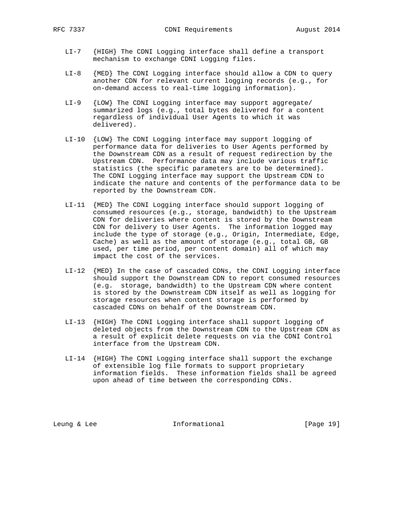- LI-7 {HIGH} The CDNI Logging interface shall define a transport mechanism to exchange CDNI Logging files.
- LI-8 {MED} The CDNI Logging interface should allow a CDN to query another CDN for relevant current logging records (e.g., for on-demand access to real-time logging information).
- LI-9 {LOW} The CDNI Logging interface may support aggregate/ summarized logs (e.g., total bytes delivered for a content regardless of individual User Agents to which it was delivered).
- LI-10 {LOW} The CDNI Logging interface may support logging of performance data for deliveries to User Agents performed by the Downstream CDN as a result of request redirection by the Upstream CDN. Performance data may include various traffic statistics (the specific parameters are to be determined). The CDNI Logging interface may support the Upstream CDN to indicate the nature and contents of the performance data to be reported by the Downstream CDN.
- LI-11 {MED} The CDNI Logging interface should support logging of consumed resources (e.g., storage, bandwidth) to the Upstream CDN for deliveries where content is stored by the Downstream CDN for delivery to User Agents. The information logged may include the type of storage (e.g., Origin, Intermediate, Edge, Cache) as well as the amount of storage (e.g., total GB, GB used, per time period, per content domain) all of which may impact the cost of the services.
	- LI-12 {MED} In the case of cascaded CDNs, the CDNI Logging interface should support the Downstream CDN to report consumed resources (e.g. storage, bandwidth) to the Upstream CDN where content is stored by the Downstream CDN itself as well as logging for storage resources when content storage is performed by cascaded CDNs on behalf of the Downstream CDN.
	- LI-13 {HIGH} The CDNI Logging interface shall support logging of deleted objects from the Downstream CDN to the Upstream CDN as a result of explicit delete requests on via the CDNI Control interface from the Upstream CDN.
	- LI-14 {HIGH} The CDNI Logging interface shall support the exchange of extensible log file formats to support proprietary information fields. These information fields shall be agreed upon ahead of time between the corresponding CDNs.

Leung & Lee **Informational** [Page 19]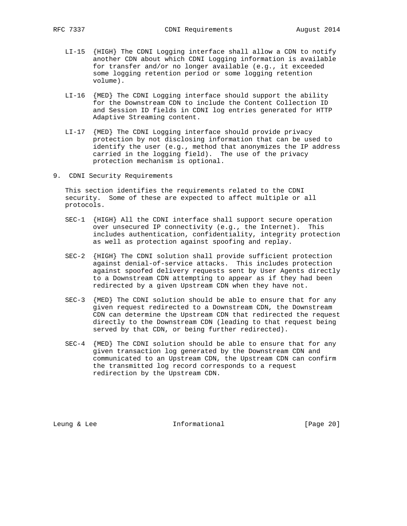- LI-15 {HIGH} The CDNI Logging interface shall allow a CDN to notify another CDN about which CDNI Logging information is available for transfer and/or no longer available (e.g., it exceeded some logging retention period or some logging retention volume).
- LI-16 {MED} The CDNI Logging interface should support the ability for the Downstream CDN to include the Content Collection ID and Session ID fields in CDNI log entries generated for HTTP Adaptive Streaming content.
- LI-17 {MED} The CDNI Logging interface should provide privacy protection by not disclosing information that can be used to identify the user (e.g., method that anonymizes the IP address carried in the logging field). The use of the privacy protection mechanism is optional.
- 9. CDNI Security Requirements

 This section identifies the requirements related to the CDNI security. Some of these are expected to affect multiple or all protocols.

- SEC-1 {HIGH} All the CDNI interface shall support secure operation over unsecured IP connectivity (e.g., the Internet). This includes authentication, confidentiality, integrity protection as well as protection against spoofing and replay.
- SEC-2 {HIGH} The CDNI solution shall provide sufficient protection against denial-of-service attacks. This includes protection against spoofed delivery requests sent by User Agents directly to a Downstream CDN attempting to appear as if they had been redirected by a given Upstream CDN when they have not.
- SEC-3 {MED} The CDNI solution should be able to ensure that for any given request redirected to a Downstream CDN, the Downstream CDN can determine the Upstream CDN that redirected the request directly to the Downstream CDN (leading to that request being served by that CDN, or being further redirected).
- SEC-4 {MED} The CDNI solution should be able to ensure that for any given transaction log generated by the Downstream CDN and communicated to an Upstream CDN, the Upstream CDN can confirm the transmitted log record corresponds to a request redirection by the Upstream CDN.

Leung & Lee **Informational** [Page 20]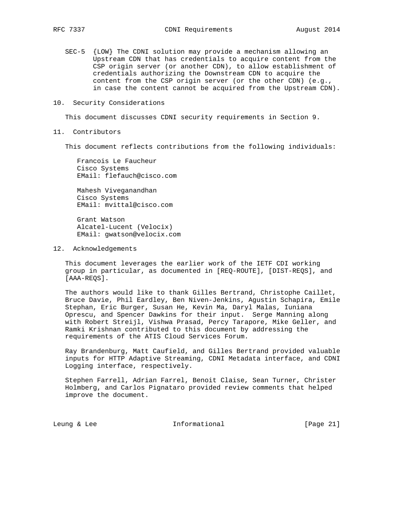- SEC-5 {LOW} The CDNI solution may provide a mechanism allowing an Upstream CDN that has credentials to acquire content from the CSP origin server (or another CDN), to allow establishment of credentials authorizing the Downstream CDN to acquire the content from the CSP origin server (or the other CDN) (e.g., in case the content cannot be acquired from the Upstream CDN).
- 10. Security Considerations

This document discusses CDNI security requirements in Section 9.

11. Contributors

This document reflects contributions from the following individuals:

 Francois Le Faucheur Cisco Systems EMail: flefauch@cisco.com

 Mahesh Viveganandhan Cisco Systems EMail: mvittal@cisco.com

 Grant Watson Alcatel-Lucent (Velocix) EMail: gwatson@velocix.com

12. Acknowledgements

 This document leverages the earlier work of the IETF CDI working group in particular, as documented in [REQ-ROUTE], [DIST-REQS], and [AAA-REQS].

 The authors would like to thank Gilles Bertrand, Christophe Caillet, Bruce Davie, Phil Eardley, Ben Niven-Jenkins, Agustin Schapira, Emile Stephan, Eric Burger, Susan He, Kevin Ma, Daryl Malas, Iuniana Oprescu, and Spencer Dawkins for their input. Serge Manning along with Robert Streijl, Vishwa Prasad, Percy Tarapore, Mike Geller, and Ramki Krishnan contributed to this document by addressing the requirements of the ATIS Cloud Services Forum.

 Ray Brandenburg, Matt Caufield, and Gilles Bertrand provided valuable inputs for HTTP Adaptive Streaming, CDNI Metadata interface, and CDNI Logging interface, respectively.

 Stephen Farrell, Adrian Farrel, Benoit Claise, Sean Turner, Christer Holmberg, and Carlos Pignataro provided review comments that helped improve the document.

Leung & Lee **Informational** [Page 21]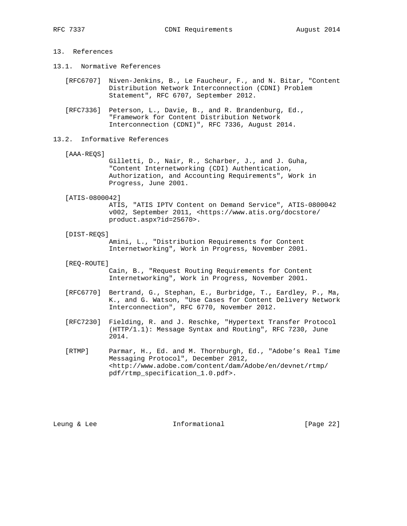# 13. References

- 13.1. Normative References
	- [RFC6707] Niven-Jenkins, B., Le Faucheur, F., and N. Bitar, "Content Distribution Network Interconnection (CDNI) Problem Statement", RFC 6707, September 2012.
	- [RFC7336] Peterson, L., Davie, B., and R. Brandenburg, Ed., "Framework for Content Distribution Network Interconnection (CDNI)", RFC 7336, August 2014.

#### 13.2. Informative References

[AAA-REQS]

 Gilletti, D., Nair, R., Scharber, J., and J. Guha, "Content Internetworking (CDI) Authentication, Authorization, and Accounting Requirements", Work in Progress, June 2001.

[ATIS-0800042]

 ATIS, "ATIS IPTV Content on Demand Service", ATIS-0800042 v002, September 2011, <https://www.atis.org/docstore/ product.aspx?id=25670>.

[DIST-REQS]

 Amini, L., "Distribution Requirements for Content Internetworking", Work in Progress, November 2001.

[REQ-ROUTE]

 Cain, B., "Request Routing Requirements for Content Internetworking", Work in Progress, November 2001.

- [RFC6770] Bertrand, G., Stephan, E., Burbridge, T., Eardley, P., Ma, K., and G. Watson, "Use Cases for Content Delivery Network Interconnection", RFC 6770, November 2012.
- [RFC7230] Fielding, R. and J. Reschke, "Hypertext Transfer Protocol (HTTP/1.1): Message Syntax and Routing", RFC 7230, June 2014.
- [RTMP] Parmar, H., Ed. and M. Thornburgh, Ed., "Adobe's Real Time Messaging Protocol", December 2012, <http://www.adobe.com/content/dam/Adobe/en/devnet/rtmp/ pdf/rtmp\_specification\_1.0.pdf>.

Leung & Lee  $Informational$  [Page 22]